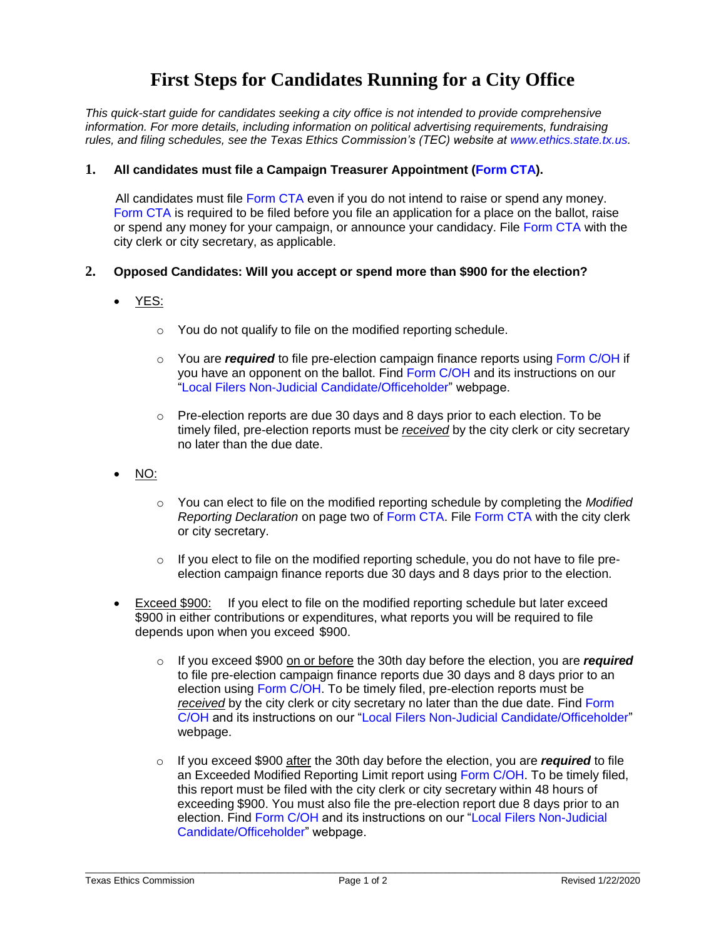# **First Steps for Candidates Running for a City Office**

*This quick-start guide for candidates seeking a city office is not intended to provide comprehensive information. For more details, including information on political advertising requirements, fundraising rules, and filing schedules, see the Texas Ethics Commission's (TEC) website at [www.ethics.state.tx.us.](https://www.ethics.state.tx.us/)*

# **1. All candidates must file a Campaign Treasurer Appointment [\(Form CTA\)](https://www.ethics.state.tx.us/data/forms/coh/cta.pdf).**

All candidates must file [Form CTA](https://www.ethics.state.tx.us/data/forms/coh/cta.pdf) even if you do not intend to raise or spend any money. [Form CTA](https://www.ethics.state.tx.us/data/forms/coh/cta.pdf) is required to be filed before you file an application for a place on the ballot, raise or spend any money for your campaign, or announce your candidacy. File [Form CTA](https://www.ethics.state.tx.us/data/forms/coh/cta.pdf) with the city clerk or city secretary, as applicable.

## **2. Opposed Candidates: Will you accept or spend more than \$900 for the election?**

- YES:
	- o You do not qualify to file on the modified reporting schedule.
	- o You are *required* to file pre-election campaign finance reports using [Form C/OH](https://www.ethics.state.tx.us/data/forms/coh/coh.pdf) if you have an opponent on the ballot. Find [Form C/OH](https://www.ethics.state.tx.us/data/forms/coh/coh.pdf) and its instructions on our ["Local Filers Non-Judicial Candidate/Officeholder"](http://www.ethics.state.tx.us/forms/local/localcohfrm.php) webpage.
	- $\circ$  Pre-election reports are due 30 days and 8 days prior to each election. To be timely filed, pre-election reports must be *received* by the city clerk or city secretary no later than the due date.
- NO:
	- o You can elect to file on the modified reporting schedule by completing the *Modified Reporting Declaration* on page two of [Form CTA.](https://www.ethics.state.tx.us/data/forms/coh/cta.pdf) File [Form CTA](https://www.ethics.state.tx.us/data/forms/coh/cta.pdf) with the city clerk or city secretary.
	- $\circ$  If you elect to file on the modified reporting schedule, you do not have to file preelection campaign finance reports due 30 days and 8 days prior to the election.
- Exceed \$900: If you elect to file on the modified reporting schedule but later exceed \$900 in either contributions or expenditures, what reports you will be required to file depends upon when you exceed \$900.
	- o If you exceed \$900 on or before the 30th day before the election, you are *required*  to file pre-election campaign finance reports due 30 days and 8 days prior to an election using [Form C/OH.](https://www.ethics.state.tx.us/data/forms/coh/coh.pdf) To be timely filed, pre-election reports must be *received* by the city clerk or city secretary no later than the due date. Find [Form](https://www.ethics.state.tx.us/data/forms/coh/coh.pdf)  [C/OH](https://www.ethics.state.tx.us/data/forms/coh/coh.pdf) and its instructions on our ["Local Filers Non-Judicial Candidate/Officeholder"](http://www.ethics.state.tx.us/forms/local/localcohfrm.php) webpage.
	- o If you exceed \$900 after the 30th day before the election, you are *required* to file an Exceeded Modified Reporting Limit report using [Form C/OH.](https://www.ethics.state.tx.us/data/forms/coh/coh.pdf) To be timely filed, this report must be filed with the city clerk or city secretary within 48 hours of exceeding \$900. You must also file the pre-election report due 8 days prior to an election. Find [Form C/OH](https://www.ethics.state.tx.us/data/forms/coh/coh.pdf) and its instructions on our ["Local Filers Non-Judicial](http://www.ethics.state.tx.us/forms/local/localcohfrm.php)  [Candidate/Officeholder"](http://www.ethics.state.tx.us/forms/local/localcohfrm.php) webpage.